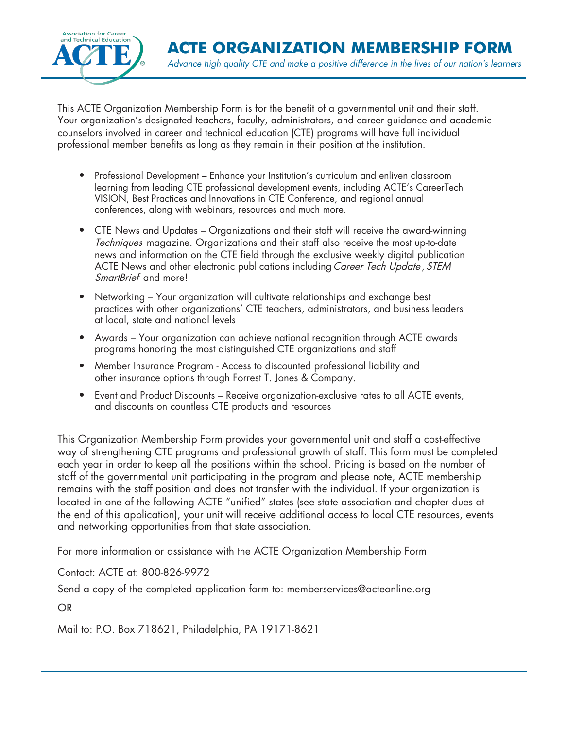

This ACTE Organization Membership Form is for the benefit of a governmental unit and their staff. Your organization's designated teachers, faculty, administrators, and career guidance and academic counselors involved in career and technical education (CTE) programs will have full individual professional member benefits as long as they remain in their position at the institution.

- Professional Development Enhance your Institution's curriculum and enliven classroom learning from leading CTE professional development events, including ACTE's CareerTech VISION, Best Practices and Innovations in CTE Conference, and regional annual conferences, along with webinars, resources and much more.
- CTE News and Updates Organizations and their staff will receive the award-winning Techniques magazine. Organizations and their staff also receive the most up-to-date news and information on the CTE field through the exclusive weekly digital publication ACTE News and other electronic publications including Career Tech Update, STEM SmartBrief and more!
- Networking Your organization will cultivate relationships and exchange best practices with other organizations' CTE teachers, administrators, and business leaders at local, state and national levels
- Awards Your organization can achieve national recognition through ACTE awards programs honoring the most distinguished CTE organizations and staff
- Member Insurance Program Access to discounted professional liability and other insurance options through Forrest T. Jones & Company.
- Event and Product Discounts Receive organization-exclusive rates to all ACTE events, and discounts on countless CTE products and resources

This Organization Membership Form provides your governmental unit and staff a cost-effective way of strengthening CTE programs and professional growth of staff. This form must be completed each year in order to keep all the positions within the school. Pricing is based on the number of staff of the governmental unit participating in the program and please note, ACTE membership remains with the staff position and does not transfer with the individual. If your organization is located in one of the following ACTE "unified" states (see state association and chapter dues at the end of this application), your unit will receive additional access to local CTE resources, events and networking opportunities from that state association.

For more information or assistance with the ACTE Organization Membership Form

Contact: ACTE at: 800-826-9972

Send a copy of the completed application form to: memberservices@acteonline.org

OR

Mail to: P.O. Box 718621, Philadelphia, PA 19171-8621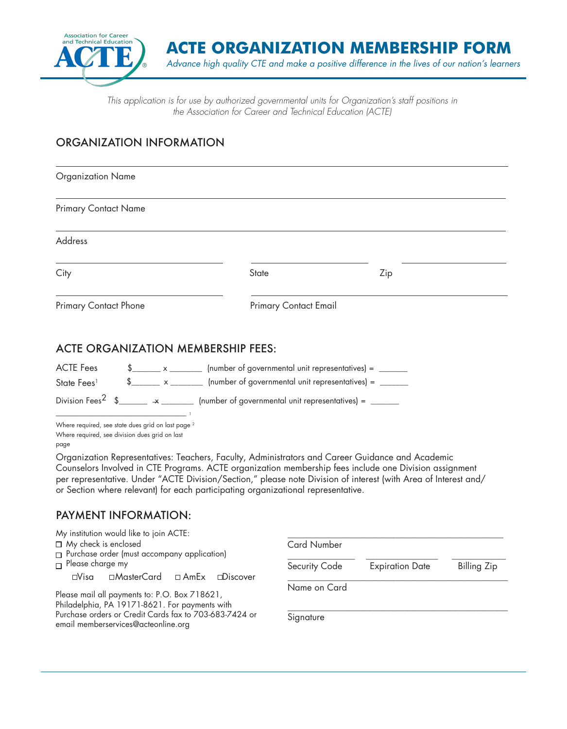

**ACTE ORGANIZATION MEMBERSHIP FORM** *Advance high quality CTE and make a positive difference in the lives of our nation's learners*

*This application is for use by authorized governmental units for Organization's staff positions in the Association for Career and Technical Education (ACTE)*

## ORGANIZATION INFORMATION

| Organization Name                                                                                                                                                                    |                                                                                                                                                                                       |                                                                                                                                                                                                                           |
|--------------------------------------------------------------------------------------------------------------------------------------------------------------------------------------|---------------------------------------------------------------------------------------------------------------------------------------------------------------------------------------|---------------------------------------------------------------------------------------------------------------------------------------------------------------------------------------------------------------------------|
| <b>Primary Contact Name</b>                                                                                                                                                          |                                                                                                                                                                                       |                                                                                                                                                                                                                           |
| <b>Address</b>                                                                                                                                                                       |                                                                                                                                                                                       |                                                                                                                                                                                                                           |
| City                                                                                                                                                                                 | <b>State</b>                                                                                                                                                                          | Zip                                                                                                                                                                                                                       |
| Primary Contact Phone                                                                                                                                                                | <b>Primary Contact Email</b>                                                                                                                                                          |                                                                                                                                                                                                                           |
| <b>ACTE Fees</b><br>State Fees <sup>1</sup><br>Division Fees <sup>2</sup> \$________ * _________ (number of governmental unit representatives) = ______                              | $\frac{1}{2}$ x ______________ (number of governmental unit representatives) = _________<br>$\frac{1}{2}$ x ______________ (number of governmental unit representatives) = __________ |                                                                                                                                                                                                                           |
| Where required, see state dues grid on last page <sup>2</sup><br>Where required, see division dues grid on last                                                                      |                                                                                                                                                                                       |                                                                                                                                                                                                                           |
| page                                                                                                                                                                                 |                                                                                                                                                                                       |                                                                                                                                                                                                                           |
| Organization Representatives: Teachers, Faculty, Administrators and Career Guidance and Academic<br>or Section where relevant) for each participating organizational representative. |                                                                                                                                                                                       | Counselors Involved in CTE Programs. ACTE organization membership fees include one Division assignment<br>per representative. Under "ACTE Division/Section," please note Division of interest (with Area of Interest and/ |
| <b>PAYMENT INFORMATION:</b>                                                                                                                                                          |                                                                                                                                                                                       |                                                                                                                                                                                                                           |
| My institution would like to join ACTE:                                                                                                                                              |                                                                                                                                                                                       |                                                                                                                                                                                                                           |

| $\Box$ My check is enclosed                            | <b>Card Number</b> |                        |             |
|--------------------------------------------------------|--------------------|------------------------|-------------|
| $\Box$ Purchase order (must accompany application)     |                    |                        |             |
| $\Box$ Please charge my                                | Security Code      | <b>Expiration Date</b> | Billing Zip |
| □MasterCard □ AmEx □Discover<br>$\Box$ Visa            |                    |                        |             |
|                                                        | Name on Card       |                        |             |
| Please mail all payments to: P.O. Box 718621,          |                    |                        |             |
| Philadelphia, PA 19171-8621. For payments with         |                    |                        |             |
| Purchase orders or Credit Cards fax to 703-683-7424 or | Signature          |                        |             |
| email memberservices@acteonline.org                    |                    |                        |             |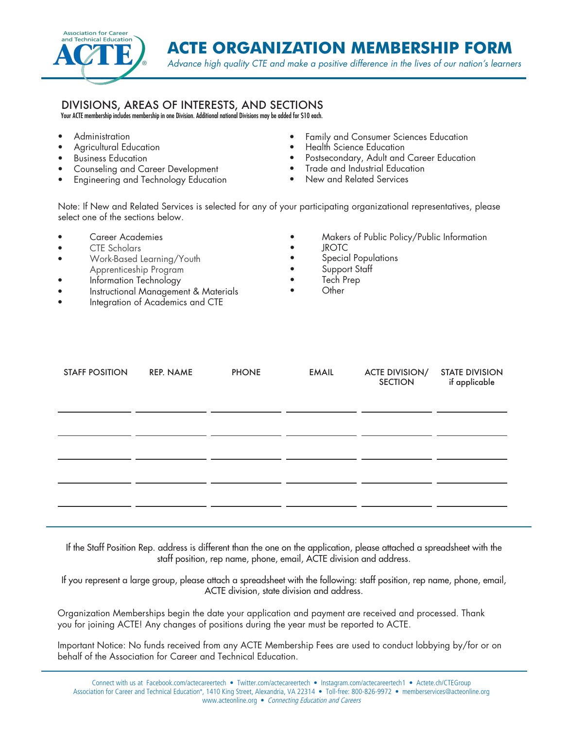

**ACTE ORGANIZATION MEMBERSHIP FORM**

*Advance high quality CTE and make a positive difference in the lives of our nation's learners*

## DIVISIONS, AREAS OF INTERESTS, AND SECTIONS

Your ACTE membership includes membership in one Division. Additional national Divisions may be added for \$10 each.

- Administration
- Agricultural Education
- Business Education
- Counseling and Career Development
- Engineering and Technology Education
- Family and Consumer Sciences Education
- Health Science Education
- Postsecondary, Adult and Career Education
- Trade and Industrial Education
- New and Related Services

Note: If New and Related Services is selected for any of your participating organizational representatives, please select one of the sections below.

- Career Academies
- CTE Scholars
- Work-Based Learning/Youth Apprenticeship Program
- Information Technology
- Instructional Management & Materials
- Integration of Academics and CTE
- Makers of Public Policy/Public Information
- JROTC
- Special Populations
- Support Staff
- Tech Prep
- Other

| <b>STAFF POSITION</b> | REP. NAME | <b>PHONE</b> | <b>EMAIL</b> | <b>ACTE DIVISION/</b><br><b>SECTION</b> | <b>STATE DIVISION</b><br>if applicable |
|-----------------------|-----------|--------------|--------------|-----------------------------------------|----------------------------------------|
|                       |           |              |              |                                         |                                        |
|                       |           |              |              |                                         |                                        |
|                       |           |              |              |                                         |                                        |
|                       |           |              |              |                                         |                                        |
|                       |           |              |              |                                         |                                        |

If the Staff Position Rep. address is different than the one on the application, please attached a spreadsheet with the staff position, rep name, phone, email, ACTE division and address.

If you represent a large group, please attach a spreadsheet with the following: staff position, rep name, phone, email, ACTE division, state division and address.

Organization Memberships begin the date your application and payment are received and processed. Thank you for joining ACTE! Any changes of positions during the year must be reported to ACTE.

Important Notice: No funds received from any ACTE Membership Fees are used to conduct lobbying by/for or on behalf of the Association for Career and Technical Education.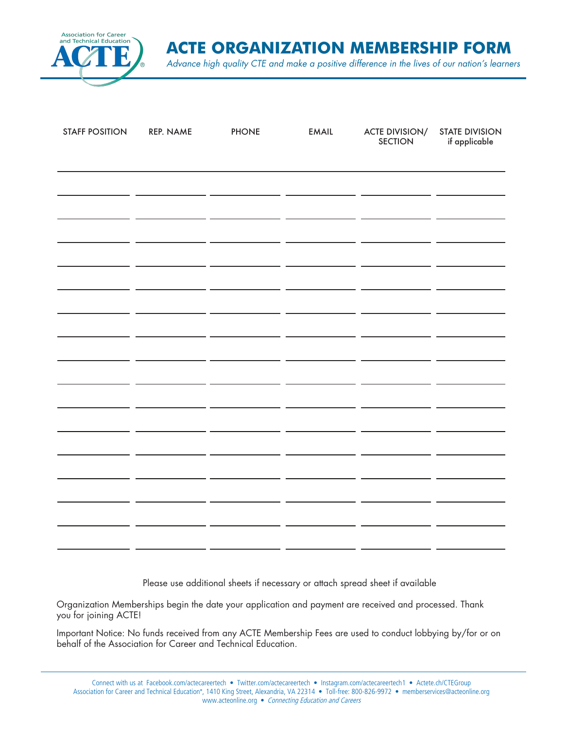

**ACTE ORGANIZATION MEMBERSHIP FORM**

*Advance high quality CTE and make a positive difference in the lives of our nation's learners*

| <b>STAFF POSITION</b> | REP. NAME | <b>PHONE</b> | <b>EMAIL</b> | ACTE DIVISION/<br>SECTION | <b>STATE DIVISION</b><br>if applicable |  |  |  |
|-----------------------|-----------|--------------|--------------|---------------------------|----------------------------------------|--|--|--|
|                       |           |              |              |                           |                                        |  |  |  |
|                       |           |              |              |                           |                                        |  |  |  |
|                       |           |              |              |                           |                                        |  |  |  |
|                       |           |              |              |                           |                                        |  |  |  |
|                       |           |              |              |                           |                                        |  |  |  |
|                       |           |              |              |                           |                                        |  |  |  |
|                       |           |              |              |                           |                                        |  |  |  |
|                       |           |              |              |                           |                                        |  |  |  |
|                       |           |              |              |                           |                                        |  |  |  |
|                       |           |              |              |                           |                                        |  |  |  |
|                       |           |              |              |                           |                                        |  |  |  |
|                       |           |              |              |                           |                                        |  |  |  |
|                       |           |              |              |                           |                                        |  |  |  |
|                       |           |              |              |                           |                                        |  |  |  |
|                       |           |              |              |                           |                                        |  |  |  |
|                       |           |              |              |                           |                                        |  |  |  |
|                       |           |              |              |                           |                                        |  |  |  |
|                       |           |              |              |                           |                                        |  |  |  |

Please use additional sheets if necessary or attach spread sheet if available

Organization Memberships begin the date your application and payment are received and processed. Thank you for joining ACTE!

Important Notice: No funds received from any ACTE Membership Fees are used to conduct lobbying by/for or on behalf of the Association for Career and Technical Education.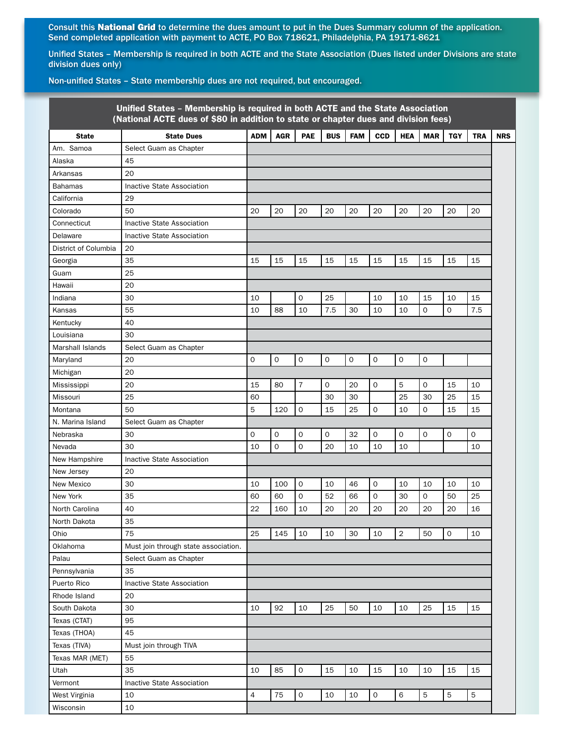Consult this National Grid to determine the dues amount to put in the Dues Summary column of the application. Send completed application with payment to ACTE, PO Box 718621, Philadelphia, PA 19171-8621

Unified States – Membership is required in both ACTE and the State Association (Dues listed under Divisions are state division dues only)

Non-unified States – State membership dues are not required, but encouraged.

| PAE<br><b>ADM</b><br><b>AGR</b><br><b>BUS</b><br><b>FAM</b><br><b>CCD</b><br><b>HEA</b><br><b>MAR</b><br><b>TGY</b><br><b>TRA</b><br><b>NRS</b><br><b>State</b><br><b>State Dues</b><br>Select Guam as Chapter<br>45<br>20<br>Inactive State Association<br>29<br>20<br>50<br>20<br>20<br>20<br>20<br>20<br>20<br>20<br>20<br>20<br>Inactive State Association<br>Inactive State Association<br>20<br>35<br>15<br>15<br>15<br>15<br>15<br>15<br>15<br>15<br>15<br>15<br>Georgia<br>25<br>20<br>$\mathbf 0$<br>30<br>25<br>10<br>10<br>15<br>10<br>15<br>10<br>7.5<br>55<br>88<br>7.5<br>30<br>10<br>0<br>0<br>10<br>10<br>10<br>40<br>30<br>Select Guam as Chapter<br>20<br>0<br>$\mathsf O$<br>$\mathsf O$<br>0<br>$\mathsf O$<br>$\mathbf 0$<br>0<br>0<br>20<br>Michigan<br>$\overline{7}$<br>$\mathbf 0$<br>20<br>5<br>20<br>15<br>80<br>0<br>0<br>15<br>10<br>Mississippi<br>25<br>25<br>30<br>30<br>30<br>25<br>15<br>Missouri<br>60<br>5<br>$\mathbf 0$<br>50<br>120<br>25<br>0<br>0<br>15<br>15<br>15<br>10<br>N. Marina Island<br>Select Guam as Chapter<br>0<br>30<br>0<br>0<br>0<br>0<br>32<br>0<br>0<br>0<br>0<br>$\mathbf 0$<br>$\mathbf 0$<br>30<br>20<br>Nevada<br>10<br>10<br>10<br>10<br>10<br>Inactive State Association<br>20<br>New Jersey<br>$\mathbf 0$<br>30<br>100<br>10<br>46<br>0<br>10<br>10<br>10<br>10<br>10<br>35<br>$\mathbf 0$<br>0<br>30<br>0<br>50<br>25<br>60<br>60<br>52<br>66<br>20<br>40<br>22<br>160<br>10<br>20<br>20<br>20<br>20<br>20<br>16<br>35<br>75<br>$\overline{2}$<br>$\mathbf 0$<br>25<br>145<br>10<br>10<br>30<br>10<br>50<br>10<br>Must join through state association.<br>Select Guam as Chapter<br>Pennsylvania<br>35<br><b>Inactive State Association</b><br>20<br>30<br>92<br>50<br>25<br>10<br>10<br>25<br>10<br>10<br>15<br>15<br>Texas (CTAT)<br>95<br>Texas (THOA)<br>45<br>Texas (TIVA)<br>Must join through TIVA<br>Texas MAR (MET)<br>55<br>$\mathbf 0$<br>35<br>10<br>85<br>15<br>10<br>15<br>10<br>10<br>15<br>15<br>Inactive State Association<br>$\overline{4}$<br>75<br>$\mathbf 0$<br>6<br>5<br>5<br>5<br>West Virginia<br>10<br>10<br>0<br>10<br>10 | Unified States - Membership is required in both ACTE and the State Association<br>(National ACTE dues of \$80 in addition to state or chapter dues and division fees) |  |  |  |  |  |  |  |  |  |  |
|--------------------------------------------------------------------------------------------------------------------------------------------------------------------------------------------------------------------------------------------------------------------------------------------------------------------------------------------------------------------------------------------------------------------------------------------------------------------------------------------------------------------------------------------------------------------------------------------------------------------------------------------------------------------------------------------------------------------------------------------------------------------------------------------------------------------------------------------------------------------------------------------------------------------------------------------------------------------------------------------------------------------------------------------------------------------------------------------------------------------------------------------------------------------------------------------------------------------------------------------------------------------------------------------------------------------------------------------------------------------------------------------------------------------------------------------------------------------------------------------------------------------------------------------------------------------------------------------------------------------------------------------------------------------------------------------------------------------------------------------------------------------------------------------------------------------------------------------------------------------------------------------------------------------------------------------------------------------------------------------------------------------------------------------------------------------------------------------------------------------------|-----------------------------------------------------------------------------------------------------------------------------------------------------------------------|--|--|--|--|--|--|--|--|--|--|
|                                                                                                                                                                                                                                                                                                                                                                                                                                                                                                                                                                                                                                                                                                                                                                                                                                                                                                                                                                                                                                                                                                                                                                                                                                                                                                                                                                                                                                                                                                                                                                                                                                                                                                                                                                                                                                                                                                                                                                                                                                                                                                                          |                                                                                                                                                                       |  |  |  |  |  |  |  |  |  |  |
|                                                                                                                                                                                                                                                                                                                                                                                                                                                                                                                                                                                                                                                                                                                                                                                                                                                                                                                                                                                                                                                                                                                                                                                                                                                                                                                                                                                                                                                                                                                                                                                                                                                                                                                                                                                                                                                                                                                                                                                                                                                                                                                          | Am. Samoa                                                                                                                                                             |  |  |  |  |  |  |  |  |  |  |
|                                                                                                                                                                                                                                                                                                                                                                                                                                                                                                                                                                                                                                                                                                                                                                                                                                                                                                                                                                                                                                                                                                                                                                                                                                                                                                                                                                                                                                                                                                                                                                                                                                                                                                                                                                                                                                                                                                                                                                                                                                                                                                                          | Alaska                                                                                                                                                                |  |  |  |  |  |  |  |  |  |  |
|                                                                                                                                                                                                                                                                                                                                                                                                                                                                                                                                                                                                                                                                                                                                                                                                                                                                                                                                                                                                                                                                                                                                                                                                                                                                                                                                                                                                                                                                                                                                                                                                                                                                                                                                                                                                                                                                                                                                                                                                                                                                                                                          | Arkansas                                                                                                                                                              |  |  |  |  |  |  |  |  |  |  |
|                                                                                                                                                                                                                                                                                                                                                                                                                                                                                                                                                                                                                                                                                                                                                                                                                                                                                                                                                                                                                                                                                                                                                                                                                                                                                                                                                                                                                                                                                                                                                                                                                                                                                                                                                                                                                                                                                                                                                                                                                                                                                                                          | Bahamas                                                                                                                                                               |  |  |  |  |  |  |  |  |  |  |
|                                                                                                                                                                                                                                                                                                                                                                                                                                                                                                                                                                                                                                                                                                                                                                                                                                                                                                                                                                                                                                                                                                                                                                                                                                                                                                                                                                                                                                                                                                                                                                                                                                                                                                                                                                                                                                                                                                                                                                                                                                                                                                                          | California                                                                                                                                                            |  |  |  |  |  |  |  |  |  |  |
|                                                                                                                                                                                                                                                                                                                                                                                                                                                                                                                                                                                                                                                                                                                                                                                                                                                                                                                                                                                                                                                                                                                                                                                                                                                                                                                                                                                                                                                                                                                                                                                                                                                                                                                                                                                                                                                                                                                                                                                                                                                                                                                          | Colorado                                                                                                                                                              |  |  |  |  |  |  |  |  |  |  |
|                                                                                                                                                                                                                                                                                                                                                                                                                                                                                                                                                                                                                                                                                                                                                                                                                                                                                                                                                                                                                                                                                                                                                                                                                                                                                                                                                                                                                                                                                                                                                                                                                                                                                                                                                                                                                                                                                                                                                                                                                                                                                                                          | Connecticut                                                                                                                                                           |  |  |  |  |  |  |  |  |  |  |
|                                                                                                                                                                                                                                                                                                                                                                                                                                                                                                                                                                                                                                                                                                                                                                                                                                                                                                                                                                                                                                                                                                                                                                                                                                                                                                                                                                                                                                                                                                                                                                                                                                                                                                                                                                                                                                                                                                                                                                                                                                                                                                                          | Delaware                                                                                                                                                              |  |  |  |  |  |  |  |  |  |  |
|                                                                                                                                                                                                                                                                                                                                                                                                                                                                                                                                                                                                                                                                                                                                                                                                                                                                                                                                                                                                                                                                                                                                                                                                                                                                                                                                                                                                                                                                                                                                                                                                                                                                                                                                                                                                                                                                                                                                                                                                                                                                                                                          | District of Columbia                                                                                                                                                  |  |  |  |  |  |  |  |  |  |  |
|                                                                                                                                                                                                                                                                                                                                                                                                                                                                                                                                                                                                                                                                                                                                                                                                                                                                                                                                                                                                                                                                                                                                                                                                                                                                                                                                                                                                                                                                                                                                                                                                                                                                                                                                                                                                                                                                                                                                                                                                                                                                                                                          |                                                                                                                                                                       |  |  |  |  |  |  |  |  |  |  |
|                                                                                                                                                                                                                                                                                                                                                                                                                                                                                                                                                                                                                                                                                                                                                                                                                                                                                                                                                                                                                                                                                                                                                                                                                                                                                                                                                                                                                                                                                                                                                                                                                                                                                                                                                                                                                                                                                                                                                                                                                                                                                                                          | Guam                                                                                                                                                                  |  |  |  |  |  |  |  |  |  |  |
|                                                                                                                                                                                                                                                                                                                                                                                                                                                                                                                                                                                                                                                                                                                                                                                                                                                                                                                                                                                                                                                                                                                                                                                                                                                                                                                                                                                                                                                                                                                                                                                                                                                                                                                                                                                                                                                                                                                                                                                                                                                                                                                          | Hawaii                                                                                                                                                                |  |  |  |  |  |  |  |  |  |  |
|                                                                                                                                                                                                                                                                                                                                                                                                                                                                                                                                                                                                                                                                                                                                                                                                                                                                                                                                                                                                                                                                                                                                                                                                                                                                                                                                                                                                                                                                                                                                                                                                                                                                                                                                                                                                                                                                                                                                                                                                                                                                                                                          | Indiana                                                                                                                                                               |  |  |  |  |  |  |  |  |  |  |
|                                                                                                                                                                                                                                                                                                                                                                                                                                                                                                                                                                                                                                                                                                                                                                                                                                                                                                                                                                                                                                                                                                                                                                                                                                                                                                                                                                                                                                                                                                                                                                                                                                                                                                                                                                                                                                                                                                                                                                                                                                                                                                                          | Kansas                                                                                                                                                                |  |  |  |  |  |  |  |  |  |  |
|                                                                                                                                                                                                                                                                                                                                                                                                                                                                                                                                                                                                                                                                                                                                                                                                                                                                                                                                                                                                                                                                                                                                                                                                                                                                                                                                                                                                                                                                                                                                                                                                                                                                                                                                                                                                                                                                                                                                                                                                                                                                                                                          | Kentucky                                                                                                                                                              |  |  |  |  |  |  |  |  |  |  |
|                                                                                                                                                                                                                                                                                                                                                                                                                                                                                                                                                                                                                                                                                                                                                                                                                                                                                                                                                                                                                                                                                                                                                                                                                                                                                                                                                                                                                                                                                                                                                                                                                                                                                                                                                                                                                                                                                                                                                                                                                                                                                                                          | Louisiana                                                                                                                                                             |  |  |  |  |  |  |  |  |  |  |
|                                                                                                                                                                                                                                                                                                                                                                                                                                                                                                                                                                                                                                                                                                                                                                                                                                                                                                                                                                                                                                                                                                                                                                                                                                                                                                                                                                                                                                                                                                                                                                                                                                                                                                                                                                                                                                                                                                                                                                                                                                                                                                                          | Marshall Islands                                                                                                                                                      |  |  |  |  |  |  |  |  |  |  |
|                                                                                                                                                                                                                                                                                                                                                                                                                                                                                                                                                                                                                                                                                                                                                                                                                                                                                                                                                                                                                                                                                                                                                                                                                                                                                                                                                                                                                                                                                                                                                                                                                                                                                                                                                                                                                                                                                                                                                                                                                                                                                                                          | Maryland                                                                                                                                                              |  |  |  |  |  |  |  |  |  |  |
|                                                                                                                                                                                                                                                                                                                                                                                                                                                                                                                                                                                                                                                                                                                                                                                                                                                                                                                                                                                                                                                                                                                                                                                                                                                                                                                                                                                                                                                                                                                                                                                                                                                                                                                                                                                                                                                                                                                                                                                                                                                                                                                          |                                                                                                                                                                       |  |  |  |  |  |  |  |  |  |  |
|                                                                                                                                                                                                                                                                                                                                                                                                                                                                                                                                                                                                                                                                                                                                                                                                                                                                                                                                                                                                                                                                                                                                                                                                                                                                                                                                                                                                                                                                                                                                                                                                                                                                                                                                                                                                                                                                                                                                                                                                                                                                                                                          |                                                                                                                                                                       |  |  |  |  |  |  |  |  |  |  |
|                                                                                                                                                                                                                                                                                                                                                                                                                                                                                                                                                                                                                                                                                                                                                                                                                                                                                                                                                                                                                                                                                                                                                                                                                                                                                                                                                                                                                                                                                                                                                                                                                                                                                                                                                                                                                                                                                                                                                                                                                                                                                                                          |                                                                                                                                                                       |  |  |  |  |  |  |  |  |  |  |
|                                                                                                                                                                                                                                                                                                                                                                                                                                                                                                                                                                                                                                                                                                                                                                                                                                                                                                                                                                                                                                                                                                                                                                                                                                                                                                                                                                                                                                                                                                                                                                                                                                                                                                                                                                                                                                                                                                                                                                                                                                                                                                                          | Montana                                                                                                                                                               |  |  |  |  |  |  |  |  |  |  |
|                                                                                                                                                                                                                                                                                                                                                                                                                                                                                                                                                                                                                                                                                                                                                                                                                                                                                                                                                                                                                                                                                                                                                                                                                                                                                                                                                                                                                                                                                                                                                                                                                                                                                                                                                                                                                                                                                                                                                                                                                                                                                                                          |                                                                                                                                                                       |  |  |  |  |  |  |  |  |  |  |
|                                                                                                                                                                                                                                                                                                                                                                                                                                                                                                                                                                                                                                                                                                                                                                                                                                                                                                                                                                                                                                                                                                                                                                                                                                                                                                                                                                                                                                                                                                                                                                                                                                                                                                                                                                                                                                                                                                                                                                                                                                                                                                                          | Nebraska                                                                                                                                                              |  |  |  |  |  |  |  |  |  |  |
|                                                                                                                                                                                                                                                                                                                                                                                                                                                                                                                                                                                                                                                                                                                                                                                                                                                                                                                                                                                                                                                                                                                                                                                                                                                                                                                                                                                                                                                                                                                                                                                                                                                                                                                                                                                                                                                                                                                                                                                                                                                                                                                          |                                                                                                                                                                       |  |  |  |  |  |  |  |  |  |  |
|                                                                                                                                                                                                                                                                                                                                                                                                                                                                                                                                                                                                                                                                                                                                                                                                                                                                                                                                                                                                                                                                                                                                                                                                                                                                                                                                                                                                                                                                                                                                                                                                                                                                                                                                                                                                                                                                                                                                                                                                                                                                                                                          | New Hampshire                                                                                                                                                         |  |  |  |  |  |  |  |  |  |  |
|                                                                                                                                                                                                                                                                                                                                                                                                                                                                                                                                                                                                                                                                                                                                                                                                                                                                                                                                                                                                                                                                                                                                                                                                                                                                                                                                                                                                                                                                                                                                                                                                                                                                                                                                                                                                                                                                                                                                                                                                                                                                                                                          |                                                                                                                                                                       |  |  |  |  |  |  |  |  |  |  |
|                                                                                                                                                                                                                                                                                                                                                                                                                                                                                                                                                                                                                                                                                                                                                                                                                                                                                                                                                                                                                                                                                                                                                                                                                                                                                                                                                                                                                                                                                                                                                                                                                                                                                                                                                                                                                                                                                                                                                                                                                                                                                                                          | New Mexico                                                                                                                                                            |  |  |  |  |  |  |  |  |  |  |
|                                                                                                                                                                                                                                                                                                                                                                                                                                                                                                                                                                                                                                                                                                                                                                                                                                                                                                                                                                                                                                                                                                                                                                                                                                                                                                                                                                                                                                                                                                                                                                                                                                                                                                                                                                                                                                                                                                                                                                                                                                                                                                                          | New York                                                                                                                                                              |  |  |  |  |  |  |  |  |  |  |
|                                                                                                                                                                                                                                                                                                                                                                                                                                                                                                                                                                                                                                                                                                                                                                                                                                                                                                                                                                                                                                                                                                                                                                                                                                                                                                                                                                                                                                                                                                                                                                                                                                                                                                                                                                                                                                                                                                                                                                                                                                                                                                                          | North Carolina                                                                                                                                                        |  |  |  |  |  |  |  |  |  |  |
|                                                                                                                                                                                                                                                                                                                                                                                                                                                                                                                                                                                                                                                                                                                                                                                                                                                                                                                                                                                                                                                                                                                                                                                                                                                                                                                                                                                                                                                                                                                                                                                                                                                                                                                                                                                                                                                                                                                                                                                                                                                                                                                          | North Dakota                                                                                                                                                          |  |  |  |  |  |  |  |  |  |  |
|                                                                                                                                                                                                                                                                                                                                                                                                                                                                                                                                                                                                                                                                                                                                                                                                                                                                                                                                                                                                                                                                                                                                                                                                                                                                                                                                                                                                                                                                                                                                                                                                                                                                                                                                                                                                                                                                                                                                                                                                                                                                                                                          | Ohio                                                                                                                                                                  |  |  |  |  |  |  |  |  |  |  |
|                                                                                                                                                                                                                                                                                                                                                                                                                                                                                                                                                                                                                                                                                                                                                                                                                                                                                                                                                                                                                                                                                                                                                                                                                                                                                                                                                                                                                                                                                                                                                                                                                                                                                                                                                                                                                                                                                                                                                                                                                                                                                                                          | Oklahoma                                                                                                                                                              |  |  |  |  |  |  |  |  |  |  |
|                                                                                                                                                                                                                                                                                                                                                                                                                                                                                                                                                                                                                                                                                                                                                                                                                                                                                                                                                                                                                                                                                                                                                                                                                                                                                                                                                                                                                                                                                                                                                                                                                                                                                                                                                                                                                                                                                                                                                                                                                                                                                                                          | Palau                                                                                                                                                                 |  |  |  |  |  |  |  |  |  |  |
|                                                                                                                                                                                                                                                                                                                                                                                                                                                                                                                                                                                                                                                                                                                                                                                                                                                                                                                                                                                                                                                                                                                                                                                                                                                                                                                                                                                                                                                                                                                                                                                                                                                                                                                                                                                                                                                                                                                                                                                                                                                                                                                          |                                                                                                                                                                       |  |  |  |  |  |  |  |  |  |  |
|                                                                                                                                                                                                                                                                                                                                                                                                                                                                                                                                                                                                                                                                                                                                                                                                                                                                                                                                                                                                                                                                                                                                                                                                                                                                                                                                                                                                                                                                                                                                                                                                                                                                                                                                                                                                                                                                                                                                                                                                                                                                                                                          | Puerto Rico                                                                                                                                                           |  |  |  |  |  |  |  |  |  |  |
|                                                                                                                                                                                                                                                                                                                                                                                                                                                                                                                                                                                                                                                                                                                                                                                                                                                                                                                                                                                                                                                                                                                                                                                                                                                                                                                                                                                                                                                                                                                                                                                                                                                                                                                                                                                                                                                                                                                                                                                                                                                                                                                          | Rhode Island                                                                                                                                                          |  |  |  |  |  |  |  |  |  |  |
|                                                                                                                                                                                                                                                                                                                                                                                                                                                                                                                                                                                                                                                                                                                                                                                                                                                                                                                                                                                                                                                                                                                                                                                                                                                                                                                                                                                                                                                                                                                                                                                                                                                                                                                                                                                                                                                                                                                                                                                                                                                                                                                          | South Dakota                                                                                                                                                          |  |  |  |  |  |  |  |  |  |  |
|                                                                                                                                                                                                                                                                                                                                                                                                                                                                                                                                                                                                                                                                                                                                                                                                                                                                                                                                                                                                                                                                                                                                                                                                                                                                                                                                                                                                                                                                                                                                                                                                                                                                                                                                                                                                                                                                                                                                                                                                                                                                                                                          |                                                                                                                                                                       |  |  |  |  |  |  |  |  |  |  |
|                                                                                                                                                                                                                                                                                                                                                                                                                                                                                                                                                                                                                                                                                                                                                                                                                                                                                                                                                                                                                                                                                                                                                                                                                                                                                                                                                                                                                                                                                                                                                                                                                                                                                                                                                                                                                                                                                                                                                                                                                                                                                                                          |                                                                                                                                                                       |  |  |  |  |  |  |  |  |  |  |
|                                                                                                                                                                                                                                                                                                                                                                                                                                                                                                                                                                                                                                                                                                                                                                                                                                                                                                                                                                                                                                                                                                                                                                                                                                                                                                                                                                                                                                                                                                                                                                                                                                                                                                                                                                                                                                                                                                                                                                                                                                                                                                                          |                                                                                                                                                                       |  |  |  |  |  |  |  |  |  |  |
|                                                                                                                                                                                                                                                                                                                                                                                                                                                                                                                                                                                                                                                                                                                                                                                                                                                                                                                                                                                                                                                                                                                                                                                                                                                                                                                                                                                                                                                                                                                                                                                                                                                                                                                                                                                                                                                                                                                                                                                                                                                                                                                          |                                                                                                                                                                       |  |  |  |  |  |  |  |  |  |  |
|                                                                                                                                                                                                                                                                                                                                                                                                                                                                                                                                                                                                                                                                                                                                                                                                                                                                                                                                                                                                                                                                                                                                                                                                                                                                                                                                                                                                                                                                                                                                                                                                                                                                                                                                                                                                                                                                                                                                                                                                                                                                                                                          | Utah                                                                                                                                                                  |  |  |  |  |  |  |  |  |  |  |
|                                                                                                                                                                                                                                                                                                                                                                                                                                                                                                                                                                                                                                                                                                                                                                                                                                                                                                                                                                                                                                                                                                                                                                                                                                                                                                                                                                                                                                                                                                                                                                                                                                                                                                                                                                                                                                                                                                                                                                                                                                                                                                                          | Vermont                                                                                                                                                               |  |  |  |  |  |  |  |  |  |  |
|                                                                                                                                                                                                                                                                                                                                                                                                                                                                                                                                                                                                                                                                                                                                                                                                                                                                                                                                                                                                                                                                                                                                                                                                                                                                                                                                                                                                                                                                                                                                                                                                                                                                                                                                                                                                                                                                                                                                                                                                                                                                                                                          |                                                                                                                                                                       |  |  |  |  |  |  |  |  |  |  |
|                                                                                                                                                                                                                                                                                                                                                                                                                                                                                                                                                                                                                                                                                                                                                                                                                                                                                                                                                                                                                                                                                                                                                                                                                                                                                                                                                                                                                                                                                                                                                                                                                                                                                                                                                                                                                                                                                                                                                                                                                                                                                                                          | Wisconsin                                                                                                                                                             |  |  |  |  |  |  |  |  |  |  |